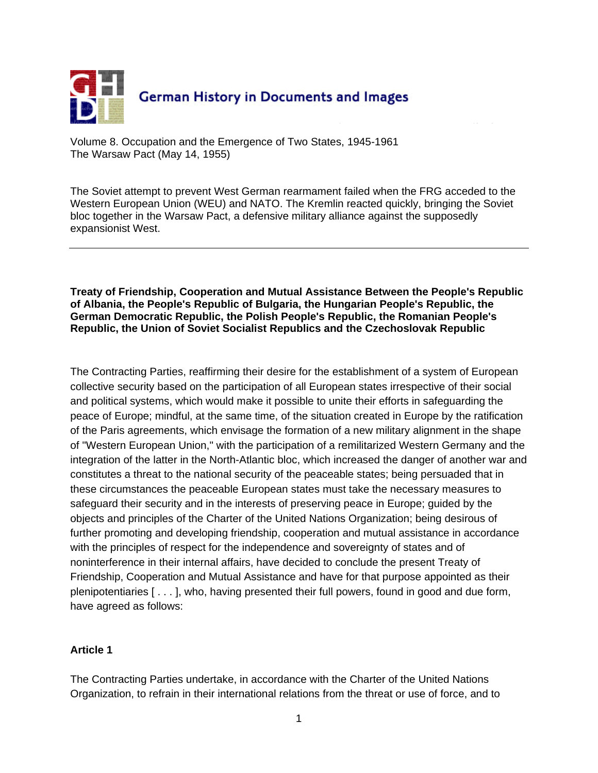

Volume 8. Occupation and the Emergence of Two States, 1945-1961 The Warsaw Pact (May 14, 1955)

The Soviet attempt to prevent West German rearmament failed when the FRG acceded to the Western European Union (WEU) and NATO. The Kremlin reacted quickly, bringing the Soviet bloc together in the Warsaw Pact, a defensive military alliance against the supposedly expansionist West.

**Treaty of Friendship, Cooperation and Mutual Assistance Between the People's Republic of Albania, the People's Republic of Bulgaria, the Hungarian People's Republic, the German Democratic Republic, the Polish People's Republic, the Romanian People's Republic, the Union of Soviet Socialist Republics and the Czechoslovak Republic** 

The Contracting Parties, reaffirming their desire for the establishment of a system of European collective security based on the participation of all European states irrespective of their social and political systems, which would make it possible to unite their efforts in safeguarding the peace of Europe; mindful, at the same time, of the situation created in Europe by the ratification of the Paris agreements, which envisage the formation of a new military alignment in the shape of "Western European Union," with the participation of a remilitarized Western Germany and the integration of the latter in the North-Atlantic bloc, which increased the danger of another war and constitutes a threat to the national security of the peaceable states; being persuaded that in these circumstances the peaceable European states must take the necessary measures to safeguard their security and in the interests of preserving peace in Europe; guided by the objects and principles of the Charter of the United Nations Organization; being desirous of further promoting and developing friendship, cooperation and mutual assistance in accordance with the principles of respect for the independence and sovereignty of states and of noninterference in their internal affairs, have decided to conclude the present Treaty of Friendship, Cooperation and Mutual Assistance and have for that purpose appointed as their plenipotentiaries [ . . . ], who, having presented their full powers, found in good and due form, have agreed as follows:

### **Article 1**

The Contracting Parties undertake, in accordance with the Charter of the United Nations Organization, to refrain in their international relations from the threat or use of force, and to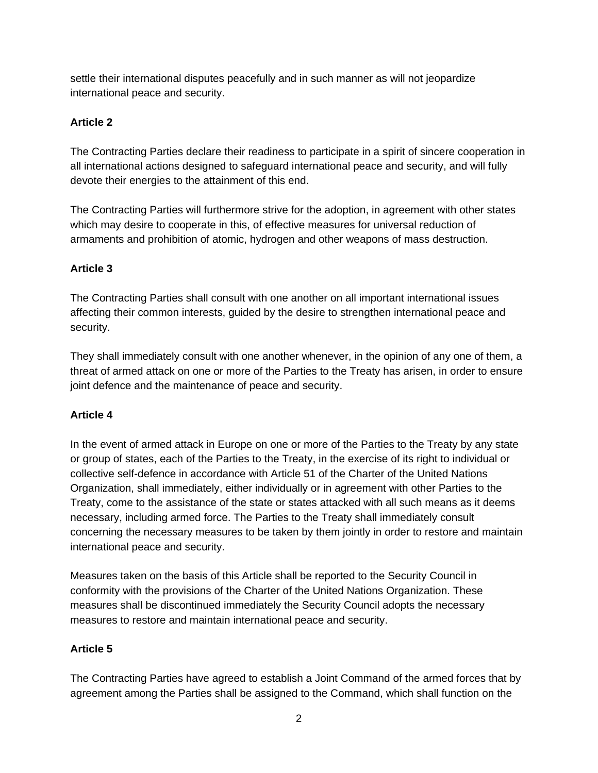settle their international disputes peacefully and in such manner as will not jeopardize international peace and security.

## **Article 2**

The Contracting Parties declare their readiness to participate in a spirit of sincere cooperation in all international actions designed to safeguard international peace and security, and will fully devote their energies to the attainment of this end.

The Contracting Parties will furthermore strive for the adoption, in agreement with other states which may desire to cooperate in this, of effective measures for universal reduction of armaments and prohibition of atomic, hydrogen and other weapons of mass destruction.

# **Article 3**

The Contracting Parties shall consult with one another on all important international issues affecting their common interests, guided by the desire to strengthen international peace and security.

They shall immediately consult with one another whenever, in the opinion of any one of them, a threat of armed attack on one or more of the Parties to the Treaty has arisen, in order to ensure joint defence and the maintenance of peace and security.

### **Article 4**

In the event of armed attack in Europe on one or more of the Parties to the Treaty by any state or group of states, each of the Parties to the Treaty, in the exercise of its right to individual or collective self-defence in accordance with Article 51 of the Charter of the United Nations Organization, shall immediately, either individually or in agreement with other Parties to the Treaty, come to the assistance of the state or states attacked with all such means as it deems necessary, including armed force. The Parties to the Treaty shall immediately consult concerning the necessary measures to be taken by them jointly in order to restore and maintain international peace and security.

Measures taken on the basis of this Article shall be reported to the Security Council in conformity with the provisions of the Charter of the United Nations Organization. These measures shall be discontinued immediately the Security Council adopts the necessary measures to restore and maintain international peace and security.

### **Article 5**

The Contracting Parties have agreed to establish a Joint Command of the armed forces that by agreement among the Parties shall be assigned to the Command, which shall function on the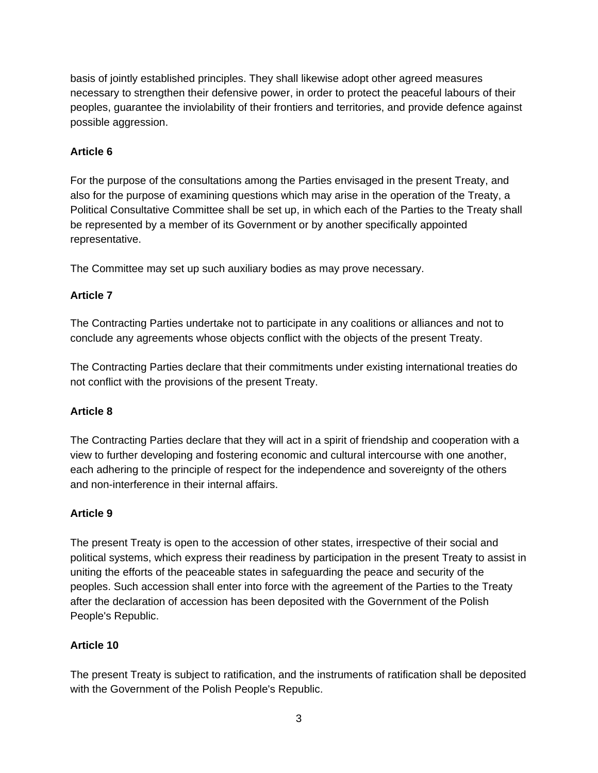basis of jointly established principles. They shall likewise adopt other agreed measures necessary to strengthen their defensive power, in order to protect the peaceful labours of their peoples, guarantee the inviolability of their frontiers and territories, and provide defence against possible aggression.

## **Article 6**

For the purpose of the consultations among the Parties envisaged in the present Treaty, and also for the purpose of examining questions which may arise in the operation of the Treaty, a Political Consultative Committee shall be set up, in which each of the Parties to the Treaty shall be represented by a member of its Government or by another specifically appointed representative.

The Committee may set up such auxiliary bodies as may prove necessary.

### **Article 7**

The Contracting Parties undertake not to participate in any coalitions or alliances and not to conclude any agreements whose objects conflict with the objects of the present Treaty.

The Contracting Parties declare that their commitments under existing international treaties do not conflict with the provisions of the present Treaty.

### **Article 8**

The Contracting Parties declare that they will act in a spirit of friendship and cooperation with a view to further developing and fostering economic and cultural intercourse with one another, each adhering to the principle of respect for the independence and sovereignty of the others and non-interference in their internal affairs.

### **Article 9**

The present Treaty is open to the accession of other states, irrespective of their social and political systems, which express their readiness by participation in the present Treaty to assist in uniting the efforts of the peaceable states in safeguarding the peace and security of the peoples. Such accession shall enter into force with the agreement of the Parties to the Treaty after the declaration of accession has been deposited with the Government of the Polish People's Republic.

### **Article 10**

The present Treaty is subject to ratification, and the instruments of ratification shall be deposited with the Government of the Polish People's Republic.